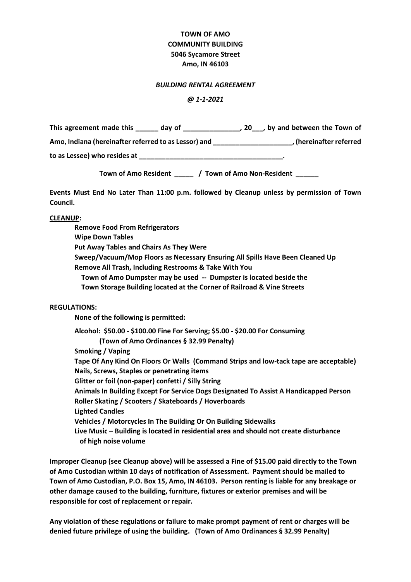# **TOWN OF AMO COMMUNITY BUILDING 5046 Sycamore Street Amo, IN 46103**

#### *BUILDING RENTAL AGREEMENT*

#### *@ 1-1-2021*

| This agreement made this<br>day of                   | , 20, by and between the Town of |
|------------------------------------------------------|----------------------------------|
| Amo, Indiana (hereinafter referred to as Lessor) and | hereinafter referred             |
| to as Lessee) who resides at                         |                                  |

**Town of Amo Resident \_\_\_\_\_ / Town of Amo Non-Resident \_\_\_\_\_\_**

**Events Must End No Later Than 11:00 p.m. followed by Cleanup unless by permission of Town Council.**

### **CLEANUP:**

**Remove Food From Refrigerators Wipe Down Tables Put Away Tables and Chairs As They Were Sweep/Vacuum/Mop Floors as Necessary Ensuring All Spills Have Been Cleaned Up Remove All Trash, Including Restrooms & Take With You Town of Amo Dumpster may be used -- Dumpster is located beside the Town Storage Building located at the Corner of Railroad & Vine Streets**

### **REGULATIONS:**

**None of the following is permitted:**

**Alcohol: \$50.00 - \$100.00 Fine For Serving; \$5.00 - \$20.00 For Consuming (Town of Amo Ordinances § 32.99 Penalty) Smoking / Vaping Tape Of Any Kind On Floors Or Walls (Command Strips and low-tack tape are acceptable) Nails, Screws, Staples or penetrating items Glitter or foil (non-paper) confetti / Silly String Animals In Building Except For Service Dogs Designated To Assist A Handicapped Person Roller Skating / Scooters / Skateboards / Hoverboards Lighted Candles Vehicles / Motorcycles In The Building Or On Building Sidewalks Live Music – Building is located in residential area and should not create disturbance of high noise volume**

**Improper Cleanup (see Cleanup above) will be assessed a Fine of \$15.00 paid directly to the Town of Amo Custodian within 10 days of notification of Assessment. Payment should be mailed to Town of Amo Custodian, P.O. Box 15, Amo, IN 46103. Person renting is liable for any breakage or other damage caused to the building, furniture, fixtures or exterior premises and will be responsible for cost of replacement or repair.**

**Any violation of these regulations or failure to make prompt payment of rent or charges will be denied future privilege of using the building. (Town of Amo Ordinances § 32.99 Penalty)**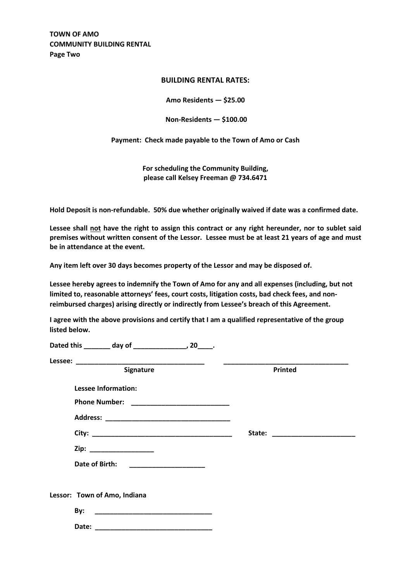**TOWN OF AMO COMMUNITY BUILDING RENTAL Page Two**

## **BUILDING RENTAL RATES:**

**Amo Residents — \$25.00**

**Non-Residents — \$100.00**

**Payment: Check made payable to the Town of Amo or Cash**

**For scheduling the Community Building, please call Kelsey Freeman @ 734.6471**

**Hold Deposit is non-refundable. 50% due whether originally waived if date was a confirmed date.**

**Lessee shall not have the right to assign this contract or any right hereunder, nor to sublet said premises without written consent of the Lessor. Lessee must be at least 21 years of age and must be in attendance at the event.**

**Any item left over 30 days becomes property of the Lessor and may be disposed of.**

**Lessee hereby agrees to indemnify the Town of Amo for any and all expenses (including, but not limited to, reasonable attorneys' fees, court costs, litigation costs, bad check fees, and nonreimbursed charges) arising directly or indirectly from Lessee's breach of this Agreement.**

**I agree with the above provisions and certify that I am a qualified representative of the group listed below.**

| Signature                                                                                                                              | Printed |
|----------------------------------------------------------------------------------------------------------------------------------------|---------|
| <b>Lessee Information:</b>                                                                                                             |         |
|                                                                                                                                        |         |
|                                                                                                                                        |         |
|                                                                                                                                        |         |
| Zip: ___________________                                                                                                               |         |
| Date of Birth:<br><u> 1980 - Jan James James James James James James James James James James James James James James James James J</u> |         |
| Lessor: Town of Amo, Indiana                                                                                                           |         |
| By:                                                                                                                                    |         |
| Date:                                                                                                                                  |         |